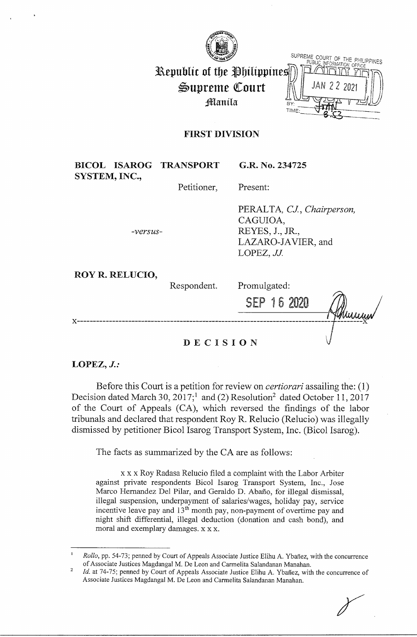

|                             | SUPREME COURT OF THE PHILIPPINES |
|-----------------------------|----------------------------------|
| Republic of the Philippines |                                  |
| Supreme Court               | JAN 22 2021                      |
| Manila                      | TIME:                            |
|                             |                                  |

## **FIRST DIVISION**

|               |                        | <b>BICOL ISAROG TRANSPORT</b> | G.R. No. 234725                                                                               |
|---------------|------------------------|-------------------------------|-----------------------------------------------------------------------------------------------|
| SYSTEM, INC., |                        |                               |                                                                                               |
|               |                        | Petitioner,                   | Present:                                                                                      |
|               | -versus-               |                               | PERALTA, CJ., Chairperson,<br>CAGUIOA,<br>REYES, J., JR.,<br>LAZARO-JAVIER, and<br>LOPEZ, JJ. |
|               | <b>ROY R. RELUCIO,</b> |                               |                                                                                               |
|               |                        | Respondent.                   | Promulgated:                                                                                  |
|               |                        |                               | <b>SEP 16 2020</b><br>Muuyuv                                                                  |
| x.            |                        |                               |                                                                                               |

**DECISION** 

### **LOPEZ,** *J.:*

Before this Court is a petition for review on *certiorari* assailing the: (I) Decision dated March 30,  $2017$ ;<sup>1</sup> and (2) Resolution<sup>2</sup> dated October 11, 2017 of the Court of Appeals (CA), which reversed the findings of the labor tribunals and declared that respondent Roy R. Relucio (Relucio) was illegally dismissed by petitioner Bicol Isarog Transport System, Inc. (Bicol Isarog).

The facts as summarized by the CA are as follows:

x x x Roy Radasa Relucio filed a complaint with the Labor Arbiter against private respondents Bicol Isarog Transport System, Inc., Jose Marco Hernandez Del Pilar, and Geraldo D. Abafio, for illegal dismissal, illegal suspension, underpayment of salaries/wages, holiday pay, service incentive leave pay and 13<sup>th</sup> month pay, non-payment of overtime pay and night shift differential, illegal deduction (donation and cash bond), and moral and exemplary damages. x x x.

*Rollo*, pp. 54-73; penned by Court of Appeals Associate Justice Elihu A. Ybañez, with the concurrence of Associate Justices Magdangal M. De Leon and Carmelita Salandanan Manahan.

<sup>2</sup>  *Id.* at 74-75; penned by Court of Appeals Associate Justice Elihu A. Ybañez, with the concurrence of Associate Justices Magdangal M. De Leon and Carmelita Salandanan Manahan.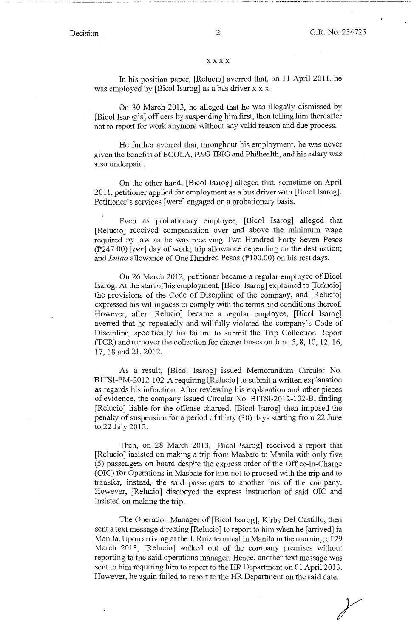-- . -- .. ·--·-··-- -· - ··---·-------·----·-·----·---------------·-

### xxxx

In his position paper, [Relucio] averred that, on 11 April 2011, he was employed by [Bicol Isarog] as a bus driver x x x.

On 30 March 2013, he alleged that he was illegally dismissed by [Bicol Isarog's] officers by suspending him first, then telling him thereafter not to report for work anymore without any valid reason and due process.

He further averred that, throughout his employment, he was never given the benefits of ECOLA, PAG-IBIG and Philhealth, and his salary was also underpaid.

On the other hand, [Bicol Isarog] alleged that, sometime on April 2011, petitioner applied for employment as a bus driver with [Bicol Isarog]. Petitioner's services [were] engaged on a probationary basis.

Even as probationary employee, [Bicol Isarog] alleged that [Relucio] received compensation over and above the minimum wage required by law as he was receiving Two Hundred Forty Seven Pesos (P247.00) *[per]* day of work; trip allowance depending on the destination; and *Lutao* allowance of One Hundred Pesos (Pl00.00) on his rest days.

On 26 March 2012, petitioner became a regular employee of Bicol Isarog. At the start of his employment, [Bicol Isarog] explained to [Relucio] the provisions of the Code of Discipline of the company, and [Relucio] expressed his willingness to comply with the terms and conditions thereof. However, after [Relucio] became a regular employee, [Bicol Isarog] averred that he repeatedly and willfully violated the company's Code of Discipline, specifically his failure to submit the Trip Collection Report (TCR) and turnover the collection for charter buses on June 5, 8, 10, 12, 16, 17, 18 and 21, 2012.

As a result, [Bicol Isarog] issued Memorandum Circular No. BITSI-PM-2012-102-A requiring [Relucio] to submit a written explanation as regards his infraction. After reviewing his explanation and other pieces of evidence, the company issued Circular No. BITSI-2012-102-B, finding [Relucio] liable for the offense charged. [Bicol-Isarog] then imposed the penalty of suspension for a period of thirty (30) days starting from 22 June to 22 July 2012.

Then, on 28 March 2013, [Bicol Isarog] received a report that [Relucio] insisted on making a trip from Masbate to Manila with only five (5) passengers on board despite the express order of the Office-in-Charge (OIC) for Operations in Masbate for him not to proceed with the trip and to transfer, instead, the said passengers to another bus of the company. However, [Relucio] disobeyed the express instruction of said OIC and insisted on making the trip.

The Operation Manager of [Bicol Isarog], Kirby Del Castillo, then sent a text message directing [Relucio] to report to him when he [ arrived] in Manila. Upon arriving at the J. Ruiz terminal in Manila in the morning of 29 March 2013, [Relucio] walked out of the company premises without reporting to the said operations manager. Hence, another text message was sent to him requiring him to report to the HR Department on 01 April 2013. However, he again failed to report to the HR Department on the said date.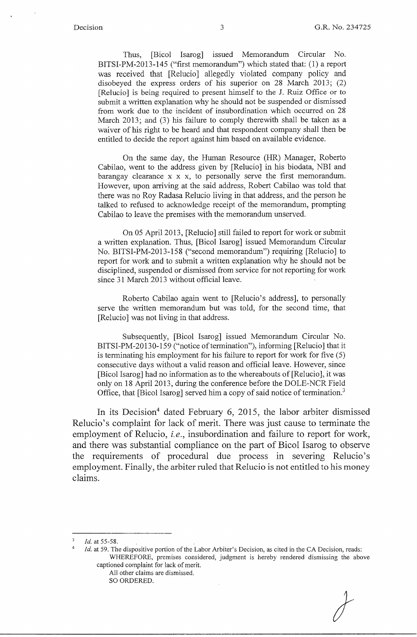Thus, [Bicol Isarog] issued Memorandum Circular No. BITSI-PM-2013-145 ("first memorandum") which stated that: (1) a report was received that [Relucio] allegedly violated company policy and disobeyed the express orders of his superior on 28 March 2013; (2) [Relucio] is being required to present himself to the J. Ruiz Office or to submit a written explanation why he should not be suspended or dismissed from work due to the incident of insubordination which occurred on 28 March 2013; and (3) his failure to comply therewith shall be taken as a waiver of his right to be heard and that respondent company shall then be entitled to decide the report against him based on available evidence.

On the same day, the Human Resource (HR) Manager, Roberto Cabilao, went to the address given by [Relucio] in his biodata, NBI and barangay clearance x x x, to personally serve the first memorandum. However, upon arriving at the said address, Robert Cabilao was told that there was no Roy Radasa Relucio living in that address, and the person he talked to refused to acknowledge receipt of the memorandum, prompting Cabilao to leave the premises with the memorandum unserved.

On 05 April 2013, [Relucio] still failed to report for work or submit a written explanation. Thus, [Bicol Isarog] issued Memorandum Circular No. BITSI-PM-2013-158 ("second memorandum") requiring [Relucio] to report for work and to submit a written explanation why he should not be disciplined, suspended or dismissed from service for not reporting for work since 31 March 2013 without official leave.

Roberto Cabilao again went to [Relucio's address], to personally serve the written memorandum but was told, for the second time, that [Relucio] was not living in that address.

Subsequently, [Bicol Isarog] issued Memorandum Circular No. BITSI-PM-20130-159 ("notice of termination"), informing [Relucio] that it is terminating his employment for his failure to report for work for five (5) consecutive days without a valid reason and official leave. However, since [Bicol Isarog] had no information as to the whereabouts of [Relucio], it was only on 18 April 2013, during the conference before the DOLE-NCR Field Office, that [Bicol Isarog] served him a copy of said notice of termination.<sup>3</sup>

In its Decision<sup>4</sup> dated February 6, 2015, the labor arbiter dismissed Relucio's complaint for lack of merit. There was just cause to terminate the employment of Relucio, *i.e.,* insubordination and failure to report for work, and there was substantial compliance on the part of Bicol Isarog to observe the requirements of procedural due process in severing Relucio's employment. Finally, the arbiter ruled that Relucio is not entitled to his money claims.

4

*Id.* at 59. The dispositive portion of the Labor Arbiter's Decision, as cited in the CA Decision, reads: WHEREFORE, premises considered, judgment is hereby rendered dismissing the above captioned complaint for lack of merit.

All other claims are dismissed. SO ORDERED.

*Id.* at 55-58.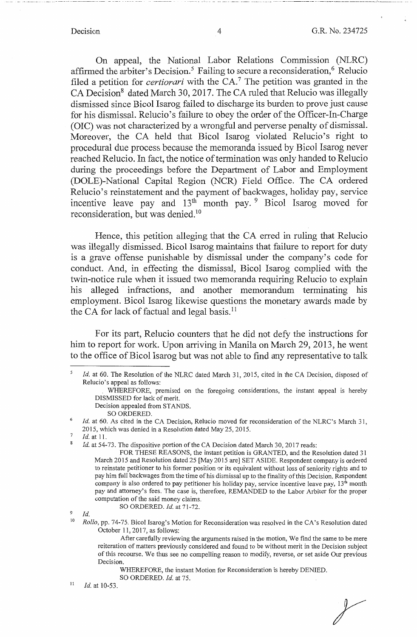On appeal, the National Labor Relations Commission (NLRC) affirmed the arbiter's Decision.<sup>5</sup> Failing to secure a reconsideration,<sup>6</sup> Relucio filed a petition for *certiorari* with the CA.<sup>7</sup> The petition was granted in the CA Decision<sup>8</sup> dated March 30, 2017. The CA ruled that Relucio was illegally dismissed since Bicol Isarog failed to discharge its burden to prove just cause for his dismissal. Relucio's failure to obey the order of the Officer-In-Charge (OIC) was not characterized by a wrongful and perverse penalty of dismissal. Moreover, the CA held that Bicol Isarog violated Relucio's right to procedural due process because the memoranda issued by Bicol Isarog never reached Relucio. In fact, the notice of termination was only handed to Relucio during the proceedings before the Department of Labor and Employment (DOLE)-National Capital Region (NCR) Field Office. The CA ordered Relucio's reinstatement and the payment of backwages, holiday pay, service incentive leave pay and 13<sup>th</sup> month pay. <sup>9</sup> Bicol Isarog moved for reconsideration, but was denied.<sup>10</sup>

Hence, this petition alleging that the CA erred in ruling that Relucio was illegally dismissed. Bicol Isarog maintains that failure to report for duty is a grave offense punishable by dismissal under the company's code for conduct. And, in effecting the dismissal, Bicol Isarog complied with the twin-notice rule when it issued two memoranda requiring Relucio to explain his alleged infractions, and another memorandum terminating his employment. Bicol Isarog likewise questions the monetary awards made by the CA for lack of factual and legal basis.<sup>11</sup>

For its part, Relucio counters that he did not defy the instructions for him to report for work. Upon arriving in Manila on March 29, 2013, he went to the office of Bicol Isarog but was not able to find any representative to talk

- Decision appealed from STANDS.
- SO ORDERED.

7 8 *Id.* at 11.

SO ORDERED. Id. at 71-72.

 $\overline{9}$ *Id.* 

<sup>10</sup> *Rollo, pp. 74-75. Bicol Isarog's Motion for Reconsideration was resolved in the CA's Resolution dated* October 11, 2017, as follows:

II *Id.* at 10-53.

*r* 

<sup>5</sup>  *Id.* at 60. The Resolution of the NLRC dated March 31, 2015, cited in the CA Decision, disposed of Relucio's appeal as follows:

<sup>.</sup> WHEREFORE, premised on the foregoing considerations, the instant appeal is hereby DISMISSED for lack of merit.

<sup>6</sup>  *Id.* at 60. As cited in the CA Decision, Relucio moved for reconsideration of the NLRC's March 31, 2015, which was denied in a Resolution dated May 25, 2015.

*Id.* at 54-73. The dispositive portion of the CA Decision dated March 30, 2017 reads:

FOR THESE REASONS, the instant petition is GRANTED, and the Resolution dated 31 March 2015 and Resolution dated 25 [May 2015 are] SET ASIDE. Respondent company is ordered to reinstate petitioner to his former position or its equivalent without loss of seniority rights and to pay him full backwages from the time of his dismissal up to the finality of this Decision. Respondent company is also ordered to pay petitioner his holiday pay, service incentive leave pay,  $13<sup>th</sup>$  month pay and attorney's fees. The case is, therefore, REMANDED to the Labor Arbiter for the proper computation of the said money claims.

After carefully reviewing the arguments raised in the motion, We find the same to be mere reiteration of matters previously considered and found to be without merit in the Decision subject of this recourse. We thus see no compelling reason to modify, reverse, or set aside Our previous Decision.

WHEREFORE, the instant Motion for Reconsideration is hereby DENIED.

SO ORDERED. *Id.* at 75.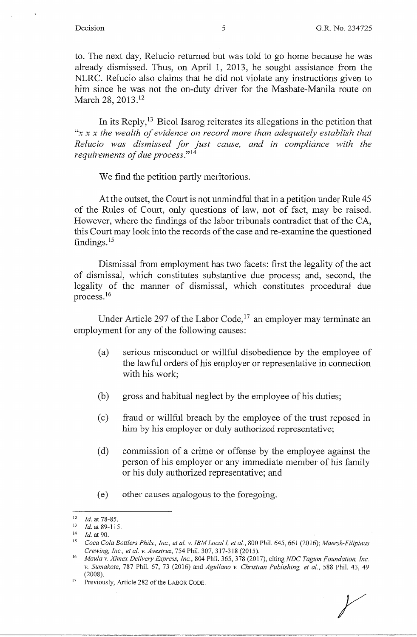to. The next day, Relucio returned but was told to go home because he was already dismissed. Thus, on April 1, 2013, he sought assistance from the NLRC. Relucio also claims that he did not violate any instructions given to him since he was not the on-duty driver for the Masbate-Manila route on March 28, 2013.<sup>12</sup>

In its Reply, 13 Bicol Isarog reiterates its allegations in the petition that *"x x x the wealth of evidence on record more than adequately establish that Relucio was dismissed for just cause, and in compliance with the requirements of due process.*"<sup>14</sup>

We find the petition partly meritorious.

At the outset, the Court is not unmindful that in a petition under Rule 45 of the Rules of Court, only questions of law, not of fact, may be raised. However, where the findings of the labor tribunals contradict that of the CA, this Court may look into the records of the case and re-examine the questioned findings. 15

Dismissal from employment has two facets: first the legality of the act of dismissal, which constitutes substantive due process; and, second, the legality of the manner of dismissal, which constitutes procedural due process. <sup>16</sup>

Under Article 297 of the Labor Code,  $17$  an employer may terminate an employment for any of the following causes:

- (a) serious misconduct or willful disobedience by the employee of the lawful orders of his employer or representative in connection with his work;
- (b) gross and habitual neglect by the employee of his duties;
- ( c) fraud or willful breach by the employee of the trust reposed in him by his employer or duly authorized representative;
- ( d) commission of a crime or offense by the employee against the person of his employer or any immediate member of his family or his duly authorized representative; and
- ( e) other causes analogous to the foregoing.

 $\frac{12}{13}$  *Id.* at 78-85.

<sup>13</sup>*Id.* at 89-115. 14 *Id.* at 90. 15 *Coca Cola Bottlers Phils., Inc., et al. v. IBM Local I, et al.,* 800 Phil. 645, 661 (2016); *Maersk-Filipinas Crewing, Inc., et al. v. Avestruz,* 754 Phil. 307, 317-318 (2015).

<sup>16</sup>*Maula v. Ximex Delivery Express, Inc.,* 804 Phil. 365,378 (2017), citing *NDC Tagum Foundation, Inc. v. Sumakote,* 787 Phil. 67, 73 (2016) and *Agullano v. Christian Publishing, et al.,* 588 Phil. 43, 49 (2008).

<sup>17</sup> Previously, Article 282 of the LABOR CODE.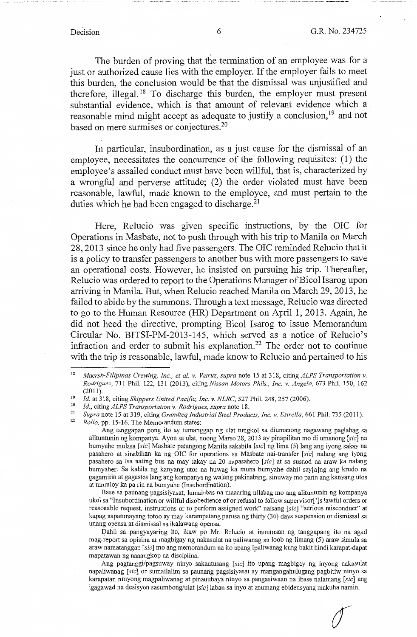*(f* 

The burden of proving that the termination of an employee was for a just or authorized cause lies with the employer. If the employer fails to meet this burden, the conclusion would be that the dismissal was unjustified and therefore, illegal. 18 To discharge this burden, the employer must present substantial evidence, which is that amount of relevant evidence which a reasonable mind might accept as adequate to justify a conclusion, 19 and not based on mere surmises or conjectures.<sup>20</sup>

In particular, insubordination, as a just cause for the dismissal of an employee, necessitates the concurrence of the following requisites: (1) the employee's assailed conduct must have been willful, that is, characterized by a wrongful and perverse attitude; (2) the order violated must have been reasonable, lawful, made known to the employee, and must pertain to the duties which he had been engaged to discharge.<sup>21</sup>

Here, Relucio was given specific instructions, by the OIC for Operations in Masbate, not to push through with his trip to Manila on March 28, 2013 since he only had five passengers. The OIC reminded Relucio that it is a policy to transfer passengers to another bus with more passengers to save an operational costs. However, he insisted on pursuing his trip. Thereafter, Relucio was ordered to report to the Operations Manager of Bicol Isarog upon arriving in Manila. But, when Relucio reached Manila on March 29, 2013, he failed to abide by the summons. Through a text message, Relucio was directed to go to the Human Resource (HR) Department on April 1, 2013. Again, he did not heed the directive, prompting Bicol Isarog to issue Memorandum Circular No. BITSI-PM-2013-145, which served as a notice of Relucio's infraction and order to submit his explanation.<sup>22</sup> The order not to continue with the trip is reasonable, lawful, made know to Relucio and pertained to his

Base sa paunang pagsisiyasat, lumalabas na maaaring nilabag mo ang alituntunin ng kompanya ukol sa "Insubordination or willful disobedience of or refusal to follow supervisor[']s lawful orders or reasonable request, instructions or to perform assigned work" naisang *[sic]* "serious misconduct" at kapag napatunayang totoo ay may karampatang parusa ng thirty (30) days suspension or dismissal sa unang opensa at dismissal sa ikalawang opensa.

Dahil sa pangyayaring ito, ikaw po Mr. Relucio at inuutusan ng tanggapang ito na agad mag-report sa opisina at magbigay ng nakasulat na paliwanag sa loob ng limang (5) araw simula sa araw namatanggap *[sic]* mo ang memorandum na ito upang ipaliwanag kung bakit hindi karapat-dapat mapatawan ng naaangkop na disciplina.

Ang pagtanggi/pagsuway ninyo sakautusang *[sic]* ito upang magbigay ng inyong nakasulat napaliwanag *[sic]* or sumailalim sa paunang pagsisiyasat ay mangangahulugang pagbitiw ninyo sa karapatan ninyong magpaliwanag at pinauubaya ninyo sa pangasiwaan na ibase nalamang *[sic]* ang igagawad na desisyon sasumbong/ulat *[sic]* laban sa inyo at anumang ebidensyang makuha namin.

<sup>18</sup>*Maersk-Filipinas Crewing, Inc., et al. v. Vetruz, supra* note 15 at 318, citing *ALPS Transportation v. Rodriguez,* 711 **Phil.** 122, 131 (2013), citing *Nissan Motors Phils., Inc. v. Angelo,* 673 Phil. 150, 162 (2011). 19 *Id.* at 318, citing *Skippers United Pacific, Inc. v. NLRC,* 527 Phil. 248, 257 (2006). 20 *Id.,* citing *ALPS Transportation* v. *Rodriguez, supra* note 18.

Supra note 15 at 319, citing *Grandteq Industrial Steel Products, Inc. v. Estrella*, 661 Phil. 735 (2011). *Rollo, pp.* 15-16. The Memorandum states:

Ang tanggapan pong ito ay tumanggap ng ulat tungkol sa diumanong nagawang paglabag sa alituntunin ng kompanya. Ayon sa ulat, noong Marso 28, 2013 ay pinapilitan mo di umanong *[sic]* na bumyahe mulasa *[sic]* Masbate patungong Manila sakabila *[sic]* ng lima (5) lang ang iyong sakay na pasahero at sinabihan ka ng OIC for operations sa Masbate nai-transfer *[sic]* nalang ang iyong pasahero sa isa nating bus na may sakay na 20 napasahero *[sic]* at sa susnod na araw ka nalang bumyaher. Sa kabila ng kanyang utos na huwag ka muna bumyahe dahil say[a]ng ang krudo na gagamitin at gagastos lang ang kompanya ng walang pakinabang, sinuway mo parin ang kanyang utos at tumuloy ka pa rin na bumyahe (Insubordination).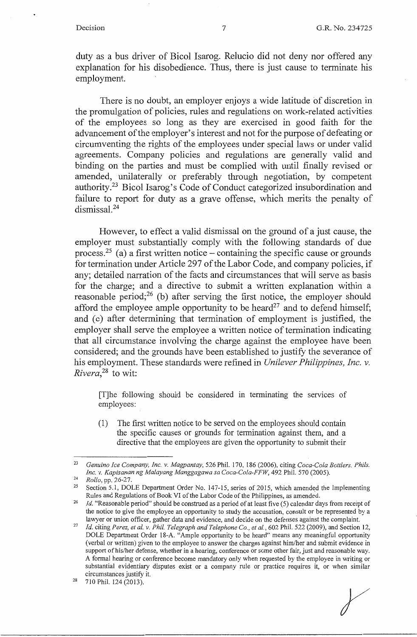duty as a bus driver of Bicol Isarog. Relucio did not deny nor offered any explanation for his disobedience. Thus, there is just cause to terminate his employment.

There is no doubt, an employer enjoys a wide latitude of discretion in the promulgation of policies, rules and regulations on work-related activities of the employees so long as they are exercised in good faith for the advancement of the employer's interest and not for the purpose of defeating or circumventing the rights of the employees under special laws or under valid agreements. Company policies and regulations are generally valid and binding on the parties and must be complied with until finally revised or amended, unilaterally or preferably through negotiation, by competent authority.23 Bicol Isarog's Code of Conduct categorized insubordination and failure to report for duty as a grave offense, which merits the penalty of dismissal. 24

However, to effect a valid dismissal on the ground of a just cause, the employer must substantially comply with the following standards of due process.<sup>25</sup> (a) a first written notice – containing the specific cause or grounds for termination under Article 297 of the Labor Code, and company policies, if any; detailed narration of the facts and circumstances that will serve as basis for the charge; and a directive to submit a written explanation within a reasonable period; $^{26}$  (b) after serving the first notice, the employer should afford the employee ample opportunity to be heard<sup>27</sup> and to defend himself; and (c) after determining that termination of employment is justified, the employer shall serve the employee a written notice of termination indicating that all circumstance involving the charge against the employee have been considered; and the grounds have been established to justify the severance of his employment. These standards were refined in *Unilever Philippines, Inc. v. Rivera*<sup>28</sup> to wit:

[T]he following should be considered in terminating the services of employees:

(1) The first written notice to be served on the employees should contain the specific causes or grounds for termination against them, and a directive that the employees are given the opportunity to submit their

r

<sup>23</sup>*Genuino Ice Company, Inc. v. Magpantay,* 526 Phil. 170, 186 (2006), citing *Coca-Cola Bottlers, Phils.* 

*IMBRanger Mallo, pp. 26-27. Inc. 25 Section 5.1, DOLE Department Order No. 147-15, series of 2015, which amended the Implementing Rules and Regulations of Book VI of the Labor Code of the Philippines, as amended.* 

*Id.* "Reasonable period" should be construed as a period of at least five (5) calendar days from receipt of the notice to give the employee an opportunity to study the accusation, consult or be represented by a lawyer or union officer, gather data and evidence, and decide on the defenses against the complaint.

<sup>&</sup>lt;sup>27</sup> Id. citing Perez, et al. v. Phil. Telegraph and Telephone Co., et al., 602 Phil. 522 (2009), and Section 12, DOLE Department Order 18-A. "Ample opportunity to be heard" means any meaningful opportunity (verbal or written) given to the employee to answer the charges against him/her and submit evidence in support of his/her defense, whether in a hearing, conference or some other fair, just and reasonable way. A formal hearing or conference become mandatory only when requested by the employee in writing or substantial evidentiary disputes exist or a company rule or practice requires it, or when similar circumstances justify it.<br><sup>28</sup> 710 Phil. 124 (2013).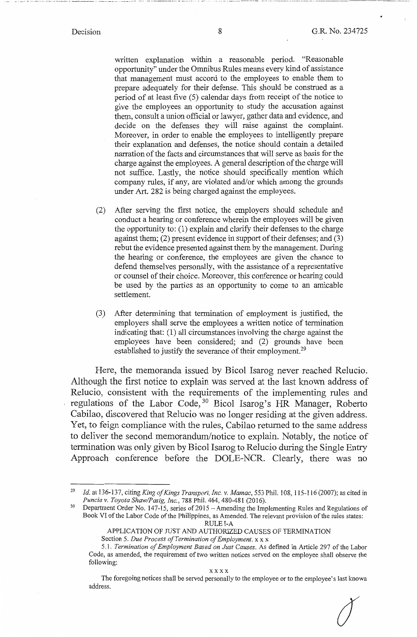-- ·- --·· - ····-······· --· ···-··--- - ---

 $\int$ 

written explanation within a reasonable period. "Reasonable opportunity" under the Omnibus Rules means every kind of assistance that management must accord to the employees to enable them to prepare adequately for their defense. This should be construed as a period of at least five (5) calendar days from receipt of the notice to give the employees an opportunity to study the accusation against them, consult a union official or lawyer, gather data and evidence, and decide on the defenses they will raise against the complaint. Moreover, in order to enable the employees to intelligently prepare their explanation and defenses, the notice should contain a detailed narration of the facts and circumstances that will serve as basis for the charge against the employees. A general description of the charge will not suffice. Lastly, the notice should specifically mention which company rules, if any, are violated and/or which among the grounds under Art. 282 is being charged against the employees.

- (2) After serving the first notice, the employers should schedule and conduct a hearing or conference wherein the employees will be given the opportunity to: (1) explain and clarify their defenses to the charge against them; (2) present evidence in support of their defenses; and (3) rebut the evidence presented against them by the management. During the hearing or conference, the employees are given the chance to defend themselves personally, with the assistance of a representative or counsel of their choice. Moreover, this conference or hearing could be used by the parties as an opportunity to come to an amicable settlement.
- (3) After determining that termination of employment is justified, the employers shall serve the employees a written notice of termination indicating that: (1) all circumstances involving the charge against the employees have been considered; and (2) grounds have been established to justify the severance of their employment.<sup>29</sup>

Here, the memoranda issued by Bicol Isarog never reached Relucio. Although the first notice to explain was served at the last known address of Relucio, consistent with the requirements of the implementing rules and regulations of the Labor Code,<sup>30</sup> Bicol Isarog's HR Manager, Roberto Cabilao, discovered that Relucio was no longer residing at the given address. Yet, to feign compliance with the rules, Cabilao returned to the same address to deliver the second memorandum/notice to explain. Notably, the notice of termination was only given by Bicol Isarog to Relucio during the Single Entry Approach conference before the DOLE-NCR. Clearly, there was no

*Id.* at 136-137, citing *King of Kings Transport, Inc. v. Mamac*, 553 Phil. 108, 115-116 (2007); as cited in *Puncia v. Toyota Shaw/Pasig, Inc.*, 788 Phil. 464, 480-481 (2016).

<sup>&</sup>lt;sup>30</sup> Department Order No. 147-15, series of 2015 - Amending the Implementing Rules and Regulations of Book VI of the Labor Code of the Philippines, as Amended. The relevant provision of the rules states: RULE I-A

APPLICATION OF JUST AND AUTHORIZED CAUSES OF TERMINATION Section 5. *Due Process of Termination of Employment.xx* x

<sup>5.</sup> l. *Termination of Employment Based on Just Causes.* As defined in Article 297 of the Labor Code, as amended, the requirement of two written notices served on the employee shall observe the following:

The foregoing notices shall be served personally to the employee or to the employee's last known address.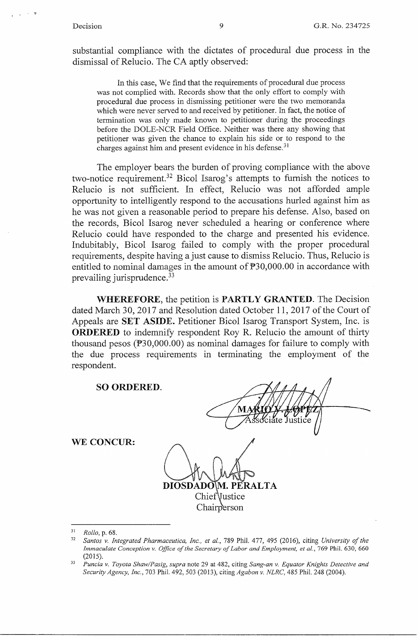substantial compliance with the dictates of procedural due process in the dismissal of Relucio. The CA aptly observed:

In this case, We find that the requirements of procedural due process was not complied with. Records show that the only effort to comply with procedural due process in dismissing petitioner were the two memoranda which were never served to and received by petitioner. In fact, the notice of termination was only made known to petitioner during the proceedings before the DOLE-NCR Field Office. Neither was there any showing that petitioner was given the chance to explain his side or to respond to the charges against him and present evidence in his defense.<sup>31</sup>

The employer bears the burden of proving compliance with the above two-notice requirement.32 Bicol Isarog's attempts to furnish the notices to Relucio is not sufficient. In effect, Relucio was not afforded ample opportunity to intelligently respond to the accusations hurled against him as he was not given a reasonable period to prepare his defense. Also, based on the records, Bicol Isarog never scheduled a hearing or conference where Relucio could have responded to the charge and presented his evidence. Indubitably, Bicol Isarog failed to comply with the proper procedural requirements, despite having a just cause to dismiss Relucio. Thus, Relucio is entitled to nominal damages in the amount of  $\texttt{P}30,000.00$  in accordance with prevailing jurisprudence.<sup>33</sup>

**WHEREFORE,** the petition is **PARTLY GRANTED.** The Decision dated March 30, 2017 and Resolution dated October 11, 2017 of the Court of Appeals are **SET ASIDE.** Petitioner Bicol Isarog Transport System, Inc. is **ORDERED** to indemnify respondent Roy R. Relucio the amount of thirty thousand pesos ( $\mathbb{P}30,000.00$ ) as nominal damages for failure to comply with the due process requirements in terminating the employment of the respondent.

**SO ORDERED.** 

DIOSDAI M. PERALTA Chief Vustice

<sup>31</sup>*Rollo,* p. 68.

**WE CONCUR:** 

**Chairperson** 

<sup>32</sup>*Santos v. Integrated Pharmaceutica, Inc., et al.,* 789 Phil. 477, 495 (2016), citing *University of the Immaculate Conception v. Office of the Secretary of Labor and Employment, et al.,* 769 Phil. 630, 660

<sup>(2015). 33</sup> *Puncia v. Toyota Shaw/Pasig, supra* note 29 at 482, citing *Sang-an v. Equator Knights Detective and Security Agency, Inc.,* 703 Phil. 492, 503 (2013), citing *Agabon v. NLRC,* 485 Phil. 248 (2004).